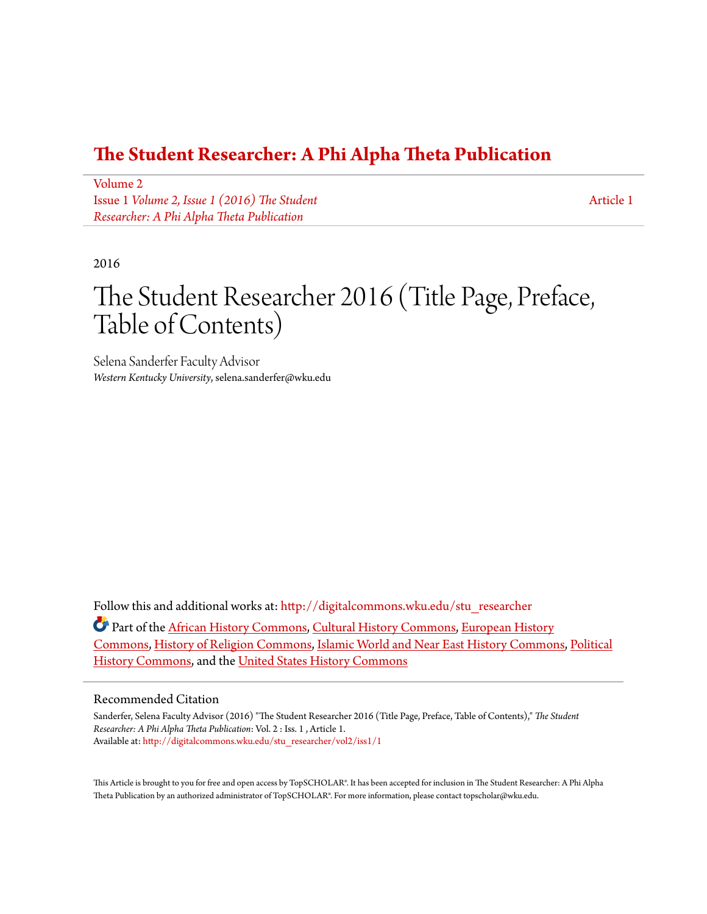### **[The Student Researcher: A Phi Alpha Theta Publication](http://digitalcommons.wku.edu/stu_researcher?utm_source=digitalcommons.wku.edu%2Fstu_researcher%2Fvol2%2Fiss1%2F1&utm_medium=PDF&utm_campaign=PDFCoverPages)**

[Volume 2](http://digitalcommons.wku.edu/stu_researcher/vol2?utm_source=digitalcommons.wku.edu%2Fstu_researcher%2Fvol2%2Fiss1%2F1&utm_medium=PDF&utm_campaign=PDFCoverPages) Issue 1 *[Volume 2, Issue 1 \(2016\) The Student](http://digitalcommons.wku.edu/stu_researcher/vol2/iss1?utm_source=digitalcommons.wku.edu%2Fstu_researcher%2Fvol2%2Fiss1%2F1&utm_medium=PDF&utm_campaign=PDFCoverPages) [Researcher: A Phi Alpha Theta Publication](http://digitalcommons.wku.edu/stu_researcher/vol2/iss1?utm_source=digitalcommons.wku.edu%2Fstu_researcher%2Fvol2%2Fiss1%2F1&utm_medium=PDF&utm_campaign=PDFCoverPages)*

[Article 1](http://digitalcommons.wku.edu/stu_researcher/vol2/iss1/1?utm_source=digitalcommons.wku.edu%2Fstu_researcher%2Fvol2%2Fiss1%2F1&utm_medium=PDF&utm_campaign=PDFCoverPages)

#### 2016

# The Student Researcher 2016 (Title Page, Preface, Table of Contents)

Selena Sanderfer Faculty Advisor *Western Kentucky University*, selena.sanderfer@wku.edu

Follow this and additional works at: [http://digitalcommons.wku.edu/stu\\_researcher](http://digitalcommons.wku.edu/stu_researcher?utm_source=digitalcommons.wku.edu%2Fstu_researcher%2Fvol2%2Fiss1%2F1&utm_medium=PDF&utm_campaign=PDFCoverPages)

Part of the [African History Commons,](http://network.bepress.com/hgg/discipline/490?utm_source=digitalcommons.wku.edu%2Fstu_researcher%2Fvol2%2Fiss1%2F1&utm_medium=PDF&utm_campaign=PDFCoverPages) [Cultural History Commons,](http://network.bepress.com/hgg/discipline/496?utm_source=digitalcommons.wku.edu%2Fstu_researcher%2Fvol2%2Fiss1%2F1&utm_medium=PDF&utm_campaign=PDFCoverPages) [European History](http://network.bepress.com/hgg/discipline/492?utm_source=digitalcommons.wku.edu%2Fstu_researcher%2Fvol2%2Fiss1%2F1&utm_medium=PDF&utm_campaign=PDFCoverPages) [Commons,](http://network.bepress.com/hgg/discipline/492?utm_source=digitalcommons.wku.edu%2Fstu_researcher%2Fvol2%2Fiss1%2F1&utm_medium=PDF&utm_campaign=PDFCoverPages) [History of Religion Commons](http://network.bepress.com/hgg/discipline/499?utm_source=digitalcommons.wku.edu%2Fstu_researcher%2Fvol2%2Fiss1%2F1&utm_medium=PDF&utm_campaign=PDFCoverPages), [Islamic World and Near East History Commons](http://network.bepress.com/hgg/discipline/493?utm_source=digitalcommons.wku.edu%2Fstu_researcher%2Fvol2%2Fiss1%2F1&utm_medium=PDF&utm_campaign=PDFCoverPages), [Political](http://network.bepress.com/hgg/discipline/505?utm_source=digitalcommons.wku.edu%2Fstu_researcher%2Fvol2%2Fiss1%2F1&utm_medium=PDF&utm_campaign=PDFCoverPages) [History Commons,](http://network.bepress.com/hgg/discipline/505?utm_source=digitalcommons.wku.edu%2Fstu_researcher%2Fvol2%2Fiss1%2F1&utm_medium=PDF&utm_campaign=PDFCoverPages) and the [United States History Commons](http://network.bepress.com/hgg/discipline/495?utm_source=digitalcommons.wku.edu%2Fstu_researcher%2Fvol2%2Fiss1%2F1&utm_medium=PDF&utm_campaign=PDFCoverPages)

#### Recommended Citation

Sanderfer, Selena Faculty Advisor (2016) "The Student Researcher 2016 (Title Page, Preface, Table of Contents)," *The Student Researcher: A Phi Alpha Theta Publication*: Vol. 2 : Iss. 1 , Article 1. Available at: [http://digitalcommons.wku.edu/stu\\_researcher/vol2/iss1/1](http://digitalcommons.wku.edu/stu_researcher/vol2/iss1/1?utm_source=digitalcommons.wku.edu%2Fstu_researcher%2Fvol2%2Fiss1%2F1&utm_medium=PDF&utm_campaign=PDFCoverPages)

This Article is brought to you for free and open access by TopSCHOLAR®. It has been accepted for inclusion in The Student Researcher: A Phi Alpha Theta Publication by an authorized administrator of TopSCHOLAR®. For more information, please contact topscholar@wku.edu.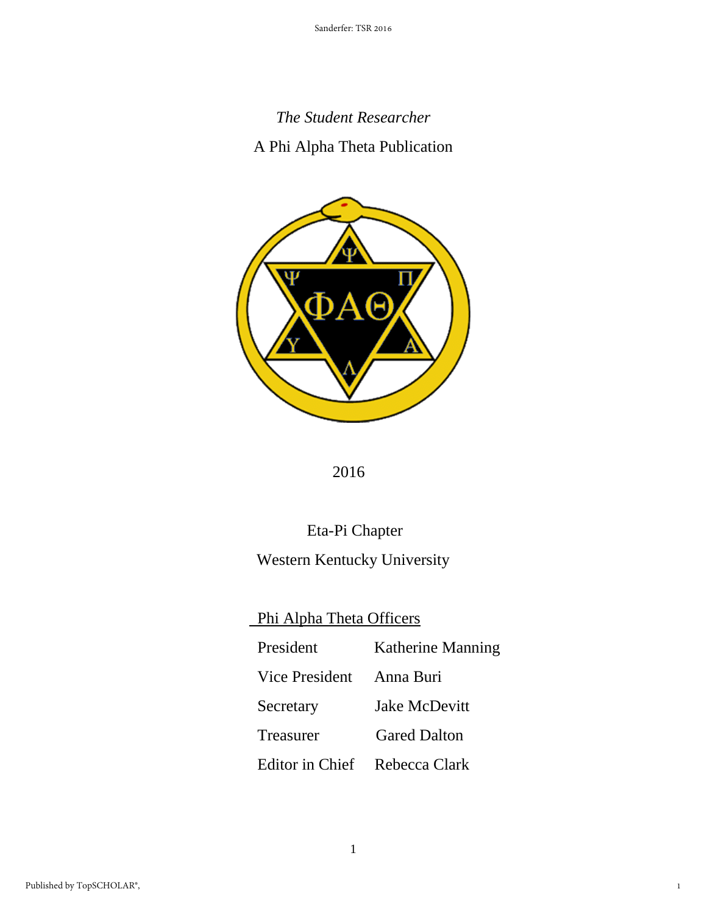# *The Student Researcher*

### A Phi Alpha Theta Publication



2016

# Eta-Pi Chapter

## Western Kentucky University

# Phi Alpha Theta Officers

| President                     | Katherine Manning   |
|-------------------------------|---------------------|
| Vice President                | Anna Buri           |
| Secretary                     | Jake McDevitt       |
| Treasurer                     | <b>Gared Dalton</b> |
| Editor in Chief Rebecca Clark |                     |

1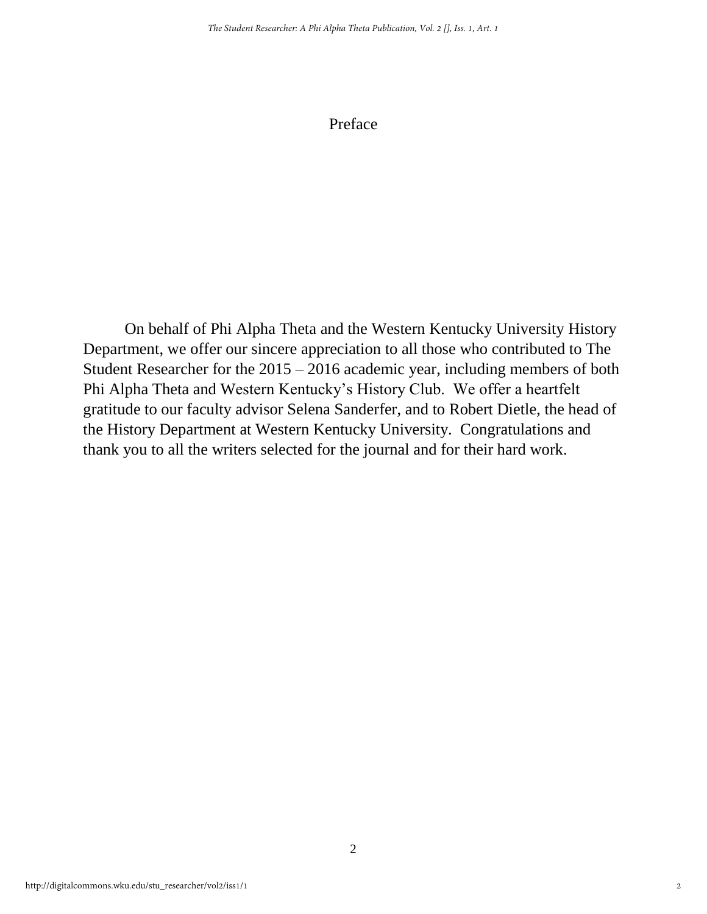#### Preface

On behalf of Phi Alpha Theta and the Western Kentucky University History Department, we offer our sincere appreciation to all those who contributed to The Student Researcher for the 2015 – 2016 academic year, including members of both Phi Alpha Theta and Western Kentucky's History Club. We offer a heartfelt gratitude to our faculty advisor Selena Sanderfer, and to Robert Dietle, the head of the History Department at Western Kentucky University. Congratulations and thank you to all the writers selected for the journal and for their hard work.

2